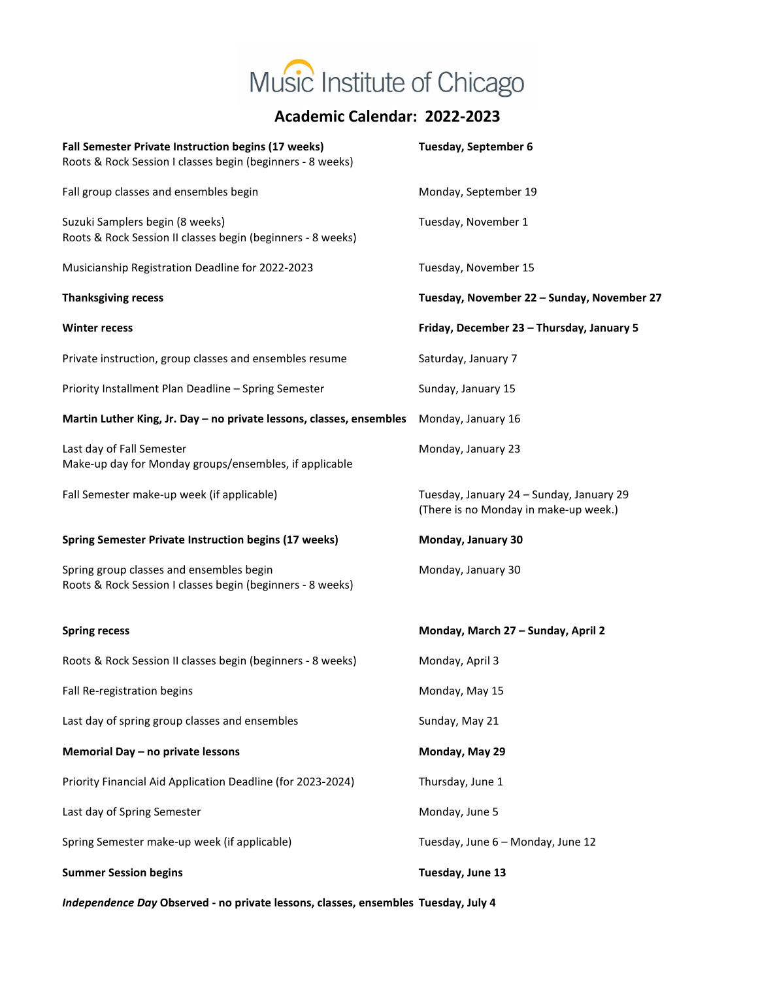

## **Academic Calendar: 2022-2023**

| Fall Semester Private Instruction begins (17 weeks)<br>Roots & Rock Session I classes begin (beginners - 8 weeks) | Tuesday, September 6                                                              |
|-------------------------------------------------------------------------------------------------------------------|-----------------------------------------------------------------------------------|
| Fall group classes and ensembles begin                                                                            | Monday, September 19                                                              |
| Suzuki Samplers begin (8 weeks)<br>Roots & Rock Session II classes begin (beginners - 8 weeks)                    | Tuesday, November 1                                                               |
| Musicianship Registration Deadline for 2022-2023                                                                  | Tuesday, November 15                                                              |
| <b>Thanksgiving recess</b>                                                                                        | Tuesday, November 22 - Sunday, November 27                                        |
| <b>Winter recess</b>                                                                                              | Friday, December 23 - Thursday, January 5                                         |
| Private instruction, group classes and ensembles resume                                                           | Saturday, January 7                                                               |
| Priority Installment Plan Deadline - Spring Semester                                                              | Sunday, January 15                                                                |
| Martin Luther King, Jr. Day - no private lessons, classes, ensembles                                              | Monday, January 16                                                                |
| Last day of Fall Semester<br>Make-up day for Monday groups/ensembles, if applicable                               | Monday, January 23                                                                |
| Fall Semester make-up week (if applicable)                                                                        | Tuesday, January 24 - Sunday, January 29<br>(There is no Monday in make-up week.) |
|                                                                                                                   |                                                                                   |
| <b>Spring Semester Private Instruction begins (17 weeks)</b>                                                      | Monday, January 30                                                                |
| Spring group classes and ensembles begin<br>Roots & Rock Session I classes begin (beginners - 8 weeks)            | Monday, January 30                                                                |
| <b>Spring recess</b>                                                                                              | Monday, March 27 - Sunday, April 2                                                |
| Roots & Rock Session II classes begin (beginners - 8 weeks)                                                       | Monday, April 3                                                                   |
| Fall Re-registration begins                                                                                       | Monday, May 15                                                                    |
| Last day of spring group classes and ensembles                                                                    | Sunday, May 21                                                                    |
| Memorial Day - no private lessons                                                                                 | Monday, May 29                                                                    |
| Priority Financial Aid Application Deadline (for 2023-2024)                                                       | Thursday, June 1                                                                  |
| Last day of Spring Semester                                                                                       | Monday, June 5                                                                    |
| Spring Semester make-up week (if applicable)                                                                      | Tuesday, June 6 - Monday, June 12                                                 |
| <b>Summer Session begins</b>                                                                                      | Tuesday, June 13                                                                  |

*Independence Day* **Observed - no private lessons, classes, ensembles Tuesday, July 4**